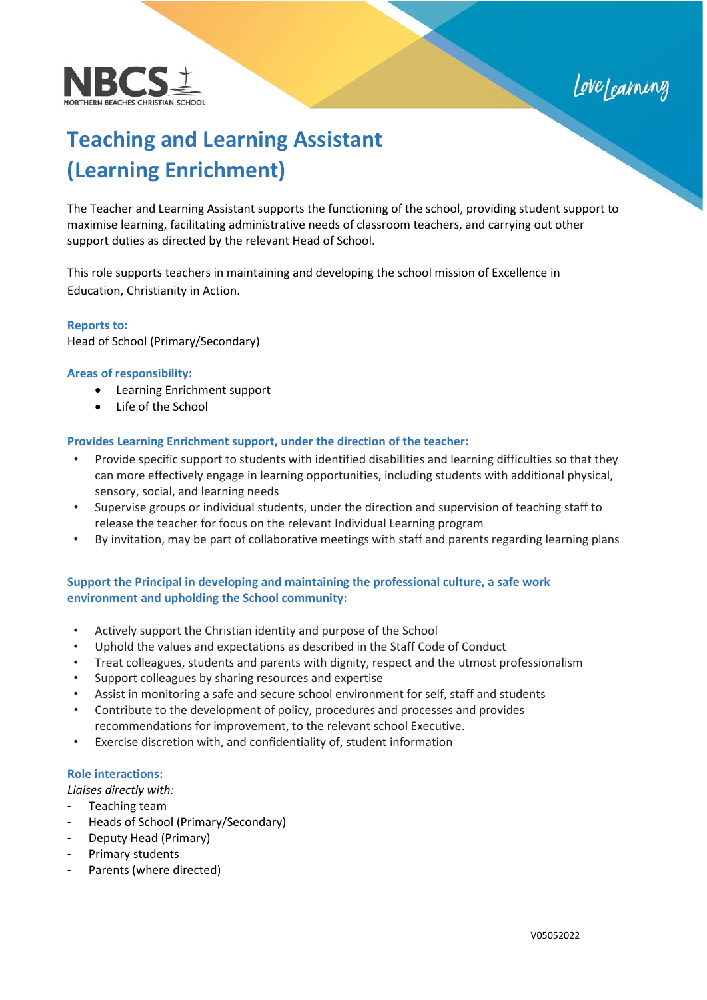



# **Teaching and Learning Assistant (Learning Enrichment)**

The Teacher and Learning Assistant supports the functioning of the school, providing student support to maximise learning, facilitating administrative needs of classroom teachers, and carrying out other support duties as directed by the relevant Head of School.

This role supports teachers in maintaining and developing the school mission of Excellence in Education, Christianity in Action.

#### **Reports to:**

Head of School (Primary/Secondary)

#### **Areas of responsibility:**

- Learning Enrichment support
- Life of the School

#### **Provides Learning Enrichment support, under the direction of the teacher:**

- Provide specific support to students with identified disabilities and learning difficulties so that they can more effectively engage in learning opportunities, including students with additional physical, sensory, social, and learning needs
- Supervise groups or individual students, under the direction and supervision of teaching staff to release the teacher for focus on the relevant Individual Learning program
- By invitation, may be part of collaborative meetings with staff and parents regarding learning plans

## **Support the Principal in developing and maintaining the professional culture, a safe work environment and upholding the School community:**

- Actively support the Christian identity and purpose of the School
- Uphold the values and expectations as described in the Staff Code of Conduct
- Treat colleagues, students and parents with dignity, respect and the utmost professionalism
- Support colleagues by sharing resources and expertise
- Assist in monitoring a safe and secure school environment for self, staff and students
- Contribute to the development of policy, procedures and processes and provides recommendations for improvement, to the relevant school Executive.
- Exercise discretion with, and confidentiality of, student information

#### **Role interactions:**

*Liaises directly with:*

- Teaching team
- Heads of School (Primary/Secondary)
- Deputy Head (Primary)
- Primary students
- Parents (where directed)